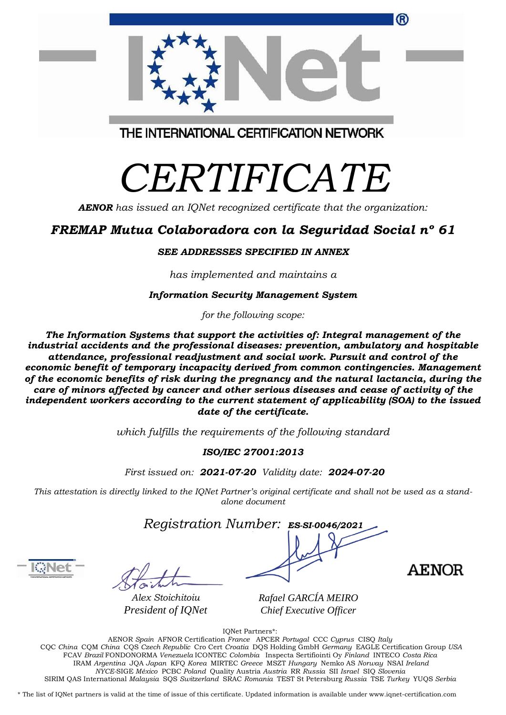| <sup>(R)</sup>                          |  |
|-----------------------------------------|--|
| THE INTERNATIONAL CERTIFICATION NETWORK |  |

# *CERTIFICATE*

*AENOR has issued an IQNet recognized certificate that the organization:*

## *FREMAP Mutua Colaboradora con la Seguridad Social nº 61*

#### *SEE ADDRESSES SPECIFIED IN ANNEX*

*has implemented and maintains a*

#### *Information Security Management System*

*for the following scope:*

*The Information Systems that support the activities of: Integral management of the industrial accidents and the professional diseases: prevention, ambulatory and hospitable attendance, professional readjustment and social work. Pursuit and control of the economic benefit of temporary incapacity derived from common contingencies. Management of the economic benefits of risk during the pregnancy and the natural lactancia, during the care of minors affected by cancer and other serious diseases and cease of activity of the independent workers according to the current statement of applicability (SOA) to the issued date of the certificate.*

*which fulfills the requirements of the following standard*

### *ISO/IEC 27001:2013*

*First issued on: 2021-07-20 Validity date: 2024-07-20*

This attestation is directly linked to the IQNet Partner's original certificate and shall not be used as a stand*alone document*

*Registration Number: ES-SI-0046/2021*

*Alex Stoichitoiu President of IQNet*

*Rafael GARCÍA MEIRO Chief Executive Officer*

**AENOR** 

IQNet Partners\*:

AENOR *Spain* AFNOR Certification *France* APCER *Portugal* CCC *Cyprus* CISQ *Italy* CQC *China* CQM *China* CQS *Czech Republic* Cro Cert *Croatia* DQS Holding GmbH *Germany* EAGLE Certification Group *USA* FCAV *Brazil* FONDONORMA *Venezuela* ICONTEC *Colombia* Inspecta Sertifiointi Oy *Finland* INTECO *Costa Rica* IRAM *Argentina* JQA *Japan* KFQ *Korea* MIRTEC *Greece* MSZT *Hungary* Nemko AS *Norway* NSAI *Ireland NYCE-*SIGE *México* PCBC *Poland* Quality Austria *Austria* RR *Russia* SII *Israel* SIQ *Slovenia* SIRIM QAS International *Malaysia* SQS *Switzerland* SRAC *Romania* TEST St Petersburg *Russia* TSE *Turkey* YUQS *Serbia*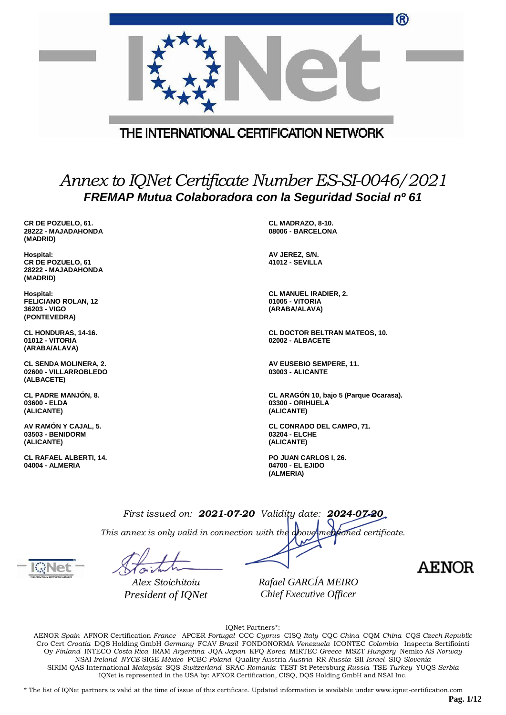|                                                                                                              |                                         | ື                                                                |
|--------------------------------------------------------------------------------------------------------------|-----------------------------------------|------------------------------------------------------------------|
|                                                                                                              |                                         |                                                                  |
|                                                                                                              | THE INTERNATIONAL CERTIFICATION NETWORK |                                                                  |
|                                                                                                              |                                         |                                                                  |
| Annex to IQNet Certificate Number ES-SI-0046/2021<br>FREMAP Mutua Colaboradora con la Seguridad Social nº 61 |                                         |                                                                  |
|                                                                                                              |                                         |                                                                  |
| CR DE POZUELO, 61.<br>28222 - MAJADAHONDA<br>(MADRID)                                                        |                                         | CL MADRAZO, 8-10.<br>08006 - BARCELONA                           |
| <b>Hospital:</b><br>CR DE POZUELO, 61<br>28222 - MAJADAHONDA<br>(MADRID)                                     |                                         | AV JEREZ, S/N.<br><b>41012 - SEVILLA</b>                         |
| Hospital:<br><b>FELICIANO ROLAN, 12</b><br>36203 - VIGO<br>(PONTEVEDRA)                                      |                                         | <b>CL MANUEL IRADIER, 2.</b><br>01005 - VITORIA<br>(ARABA/ALAVA) |
| CL HONDURAS, 14-16.<br>01012 - VITORIA<br>(ARABA/ALAVA)                                                      |                                         | <b>CL DOCTOR BELTRAN MATEOS, 10.</b><br>02002 - ALBACETE         |
| <b>CL SENDA MOLINERA, 2.</b><br>02600 - VILLARROBLEDO<br>(ALBACETE)                                          |                                         | AV EUSEBIO SEMPERE, 11.<br>03003 - ALICANTE                      |
| <b>CL PADRE MANJON, 8.</b>                                                                                   |                                         | CL ARAGÓN 10, bajo 5 (Parque Ocarasa).                           |

**CL PADRE MANJÓN, 8. 03600 - ELDA (ALICANTE)**

**AV RAMÓN Y CAJAL, 5. 03503 - BENIDORM (ALICANTE)**

**CL RAFAEL ALBERTI, 14. 04004 - ALMERIA**

**CL CONRADO DEL CAMPO, 71. 03204 - ELCHE (ALICANTE)**

**PO JUAN CARLOS I, 26. 04700 - EL EJIDO (ALMERIA)**

**03300 - ORIHUELA (ALICANTE)**

*First issued on: 2021-07-20 Validity date: 2024-07-20 This annex is only valid in connection with the above-mentioned certificate.*

*Alex Stoichitoiu President of IQNet*

*Rafael GARCÍA MEIRO Chief Executive Officer*

**AENOR** 

 $\sim$ 

IQNet Partners\*:

AENOR *Spain* AFNOR Certification *France* APCER *Portugal* CCC *Cyprus* CISQ *Italy* CQC *China* CQM *China* CQS *Czech Republic* Cro Cert *Croatia* DQS Holding GmbH *Germany* FCAV *Brazil* FONDONORMA *Venezuela* ICONTEC *Colombia* Inspecta Sertifiointi Oy *Finland* INTECO *Costa Rica* IRAM *Argentina* JQA *Japan* KFQ *Korea* MIRTEC *Greece* MSZT *Hungary* Nemko AS *Norway* NSAI *Ireland NYCE-*SIGE *México* PCBC *Poland* Quality Austria *Austria* RR *Russia* SII *Israel* SIQ *Slovenia* SIRIM QAS International *Malaysia* SQS *Switzerland* SRAC *Romania* TEST St Petersburg *Russia* TSE *Turkey* YUQS *Serbia* IQNet is represented in the USA by: AFNOR Certification, CISQ, DQS Holding GmbH and NSAI Inc.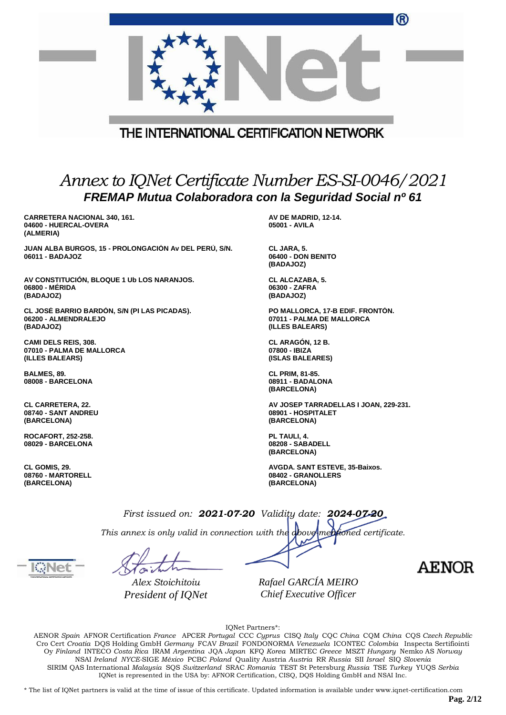|                                                                                                                                       | ®                                                                                |
|---------------------------------------------------------------------------------------------------------------------------------------|----------------------------------------------------------------------------------|
| THE INTERNATIONAL CERTIFICATION NETWORK                                                                                               |                                                                                  |
| Annex to IQNet Certificate Number ES-SI-0046/2021<br>FREMAP Mutua Colaboradora con la Seguridad Social nº 61                          |                                                                                  |
| <b>CARRETERA NACIONAL 340, 161.</b>                                                                                                   | AV DE MADRID, 12-14.                                                             |
| 04600 - HUERCAL-OVERA<br>(ALMERIA)                                                                                                    | 05001 - AVILA                                                                    |
| JUAN ALBA BURGOS, 15 - PROLONGACIÓN Av DEL PERÚ, S/N.<br>06011 - BADAJOZ                                                              | CL JARA, 5.<br>06400 - DON BENITO<br>(BADAJOZ)                                   |
| AV CONSTITUCIÓN, BLOQUE 1 Ub LOS NARANJOS.<br>06800 - MÉRIDA<br>(BADAJOZ)                                                             | CL ALCAZABA, 5.<br>06300 - ZAFRA<br>(BADAJOZ)                                    |
| CL JOSÉ BARRIO BARDÓN, S/N (PI LAS PICADAS).<br>06200 - ALMENDRALEJO<br>(BADAJOZ)                                                     | PO MALLORCA, 17-B EDIF. FRONTON.<br>07011 - PALMA DE MALLORCA<br>(ILLES BALEARS) |
| <b>CAMI DELS REIS, 308.</b><br>07010 - PALMA DE MALLORCA<br>(ILLES BALEARS)                                                           | CL ARAGÓN, 12 B.<br>07800 - IBIZA<br>(ISLAS BALEARES)                            |
| BALMES, 89.<br>08008 - BARCELONA                                                                                                      | <b>CL PRIM, 81-85.</b><br>08911 - BADALONA<br>(BARCELONA)                        |
| <b>CL CARRETERA, 22.</b><br>08740 - SANT ANDREU<br>(BARCELONA)                                                                        | AV JOSEP TARRADELLAS I JOAN, 229-231.<br>08901 - HOSPITALET<br>(BARCELONA)       |
| ROCAFORT, 252-258.<br>08029 - BARCELONA                                                                                               | PL TAULI, 4.<br>08208 - SABADELL<br>(BARCELONA)                                  |
| CL GOMIS, 29.<br>08760 - MARTORELL<br>(BARCELONA)                                                                                     | AVGDA. SANT ESTEVE, 35-Baixos.<br>08402 - GRANOLLERS<br>(BARCELONA)              |
| First issued on: 2021-07-20 Validity date: 2024-07-20<br>This annex is only valid in connection with the above mentioned certificate. |                                                                                  |
| Alex Stoichitoiu                                                                                                                      | <b>AENOR</b><br>Rafael GARCÍA MEIRO                                              |
| President of IQNet                                                                                                                    | Chief Executive Officer                                                          |

IQNet Partners\*:

AENOR *Spain* AFNOR Certification *France* APCER *Portugal* CCC *Cyprus* CISQ *Italy* CQC *China* CQM *China* CQS *Czech Republic* Cro Cert *Croatia* DQS Holding GmbH *Germany* FCAV *Brazil* FONDONORMA *Venezuela* ICONTEC *Colombia* Inspecta Sertifiointi Oy *Finland* INTECO *Costa Rica* IRAM *Argentina* JQA *Japan* KFQ *Korea* MIRTEC *Greece* MSZT *Hungary* Nemko AS *Norway* NSAI *Ireland NYCE-*SIGE *México* PCBC *Poland* Quality Austria *Austria* RR *Russia* SII *Israel* SIQ *Slovenia* SIRIM QAS International *Malaysia* SQS *Switzerland* SRAC *Romania* TEST St Petersburg *Russia* TSE *Turkey* YUQS *Serbia* IQNet is represented in the USA by: AFNOR Certification, CISQ, DQS Holding GmbH and NSAI Inc.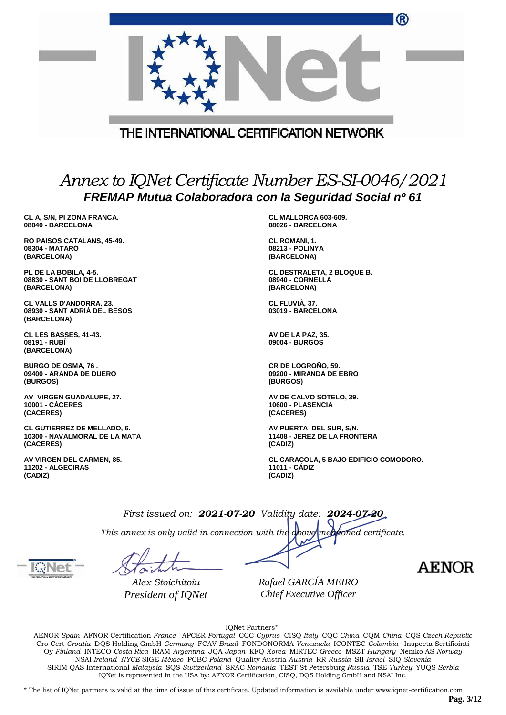|                                                        | $\bf \boldsymbol \omega$                                |
|--------------------------------------------------------|---------------------------------------------------------|
|                                                        |                                                         |
|                                                        | THE INTERNATIONAL CERTIFICATION NETWORK                 |
|                                                        |                                                         |
|                                                        |                                                         |
|                                                        |                                                         |
|                                                        | Annex to IQNet Certificate Number ES-SI-0046/2021       |
|                                                        |                                                         |
|                                                        | FREMAP Mutua Colaboradora con la Seguridad Social nº 61 |
| CL A, S/N, PI ZONA FRANCA.                             | CL MALLORCA 603-609.                                    |
| 08040 - BARCELONA                                      | 08026 - BARCELONA                                       |
| RO PAISOS CATALANS, 45-49.                             | CL ROMANI, 1.                                           |
| 08304 - MATARO<br>(BARCELONA)                          | 08213 - POLINYA<br>(BARCELONA)                          |
|                                                        |                                                         |
| PL DE LA BOBILA, 4-5.<br>08830 - SANT BOI DE LLOBREGAT | CL DESTRALETA, 2 BLOQUE B.<br>08940 - CORNELLA          |
| (BARCELONA)                                            | (BARCELONA)                                             |
| <b>CL VALLS D'ANDORRA, 23.</b>                         | CL FLUVIA, 37.                                          |
| 08930 - SANT ADRIA DEL BESOS                           | 03019 - BARCELONA                                       |
| (BARCELONA)                                            |                                                         |
| CL LES BASSES, 41-43.                                  | AV DE LA PAZ, 35.                                       |
| 08191 - RUBİ<br>(BARCELONA)                            | 09004 - BURGOS                                          |
|                                                        |                                                         |
| <b>BURGO DE OSMA, 76.</b><br>09400 - ARANDA DE DUERO   | CR DE LOGROÑO, 59.<br>09200 - MIRANDA DE EBRO           |
| (BURGOS)                                               | (BURGOS)                                                |
| AV VIRGEN GUADALUPE, 27.                               | AV DE CALVO SOTELO, 39.                                 |
| <b>10001 - CÁCERES</b>                                 | 10600 - PLASENCIA                                       |
| (CACERES)                                              | (CACERES)                                               |
| <b>CL GUTIERREZ DE MELLADO, 6.</b>                     | AV PUERTA DEL SUR, S/N.                                 |

**10300 - NAVALMORAL DE LA MATA (CACERES)**

**AV VIRGEN DEL CARMEN, 85. 11202 - ALGECIRAS (CADIZ)**

**11408 - JEREZ DE LA FRONTERA (CADIZ)**

**CL CARACOLA, 5 BAJO EDIFICIO COMODORO. 11011 - CÁDIZ (CADIZ)**

 $\sim$ 

*First issued on: 2021-07-20 Validity date: 2024-07-20 This annex is only valid in connection with the above-mentioned certificate.*

*Alex Stoichitoiu President of IQNet*

*Rafael GARCÍA MEIRO Chief Executive Officer*

**AENOR** 

IQNet Partners\*:

AENOR *Spain* AFNOR Certification *France* APCER *Portugal* CCC *Cyprus* CISQ *Italy* CQC *China* CQM *China* CQS *Czech Republic* Cro Cert *Croatia* DQS Holding GmbH *Germany* FCAV *Brazil* FONDONORMA *Venezuela* ICONTEC *Colombia* Inspecta Sertifiointi Oy *Finland* INTECO *Costa Rica* IRAM *Argentina* JQA *Japan* KFQ *Korea* MIRTEC *Greece* MSZT *Hungary* Nemko AS *Norway* NSAI *Ireland NYCE-*SIGE *México* PCBC *Poland* Quality Austria *Austria* RR *Russia* SII *Israel* SIQ *Slovenia* SIRIM QAS International *Malaysia* SQS *Switzerland* SRAC *Romania* TEST St Petersburg *Russia* TSE *Turkey* YUQS *Serbia* IQNet is represented in the USA by: AFNOR Certification, CISQ, DQS Holding GmbH and NSAI Inc.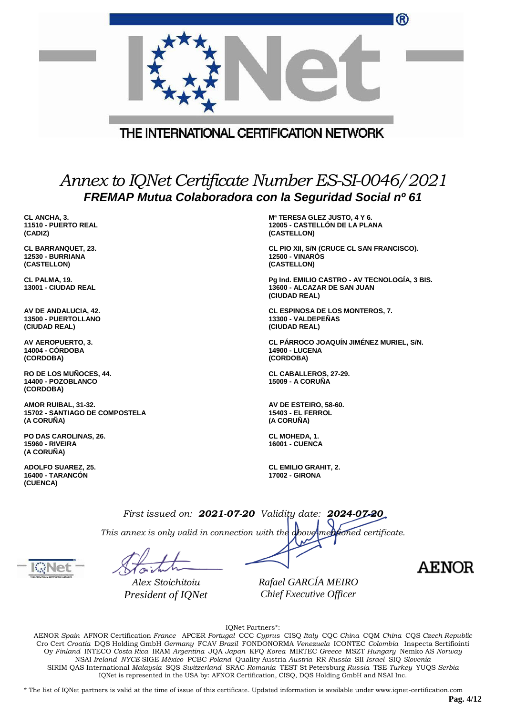|                                                                     | ®                                                                                                            |
|---------------------------------------------------------------------|--------------------------------------------------------------------------------------------------------------|
|                                                                     |                                                                                                              |
|                                                                     | THE INTERNATIONAL CERTIFICATION NETWORK                                                                      |
|                                                                     | Annex to IQNet Certificate Number ES-SI-0046/2021<br>FREMAP Mutua Colaboradora con la Seguridad Social nº 61 |
| CL ANCHA, 3.<br>11510 - PUERTO REAL<br>(CADIZ)                      | M <sup>a</sup> TERESA GLEZ JUSTO, 4 Y 6.<br>12005 - CASTELLON DE LA PLANA<br>(CASTELLON)                     |
| <b>CL BARRANQUET, 23.</b><br><b>12530 - BURRIANA</b><br>(CASTELLON) | CL PIO XII, S/N (CRUCE CL SAN FRANCISCO).<br><b>12500 - VINAROS</b><br>(CASTELLON)                           |
| CL PALMA, 19.<br>13001 - CIUDAD REAL                                | Pg Ind. EMILIO CASTRO - AV TECNOLOGÍA, 3 BIS.<br>13600 - ALCAZAR DE SAN JUAN<br>(CIUDAD REAL)                |
| AV DE ANDALUCIA, 42.<br>13500 - PUERTOLLANO<br>(CIUDAD REAL)        | <b>CL ESPINOSA DE LOS MONTEROS, 7.</b><br>13300 - VALDEPEÑAS<br>(CIUDAD REAL)                                |
| AV AEROPUERTO, 3.<br>14004 - CÓRDOBA<br>(CORDOBA)                   | CL PÁRROCO JOAQUÍN JIMÉNEZ MURIEL, S/N.<br><b>14900 - LUCENA</b><br>(CORDOBA)                                |
| RO DE LOS MUÑOCES, 44.<br>14400 - POZOBLANCO<br>(CORDOBA)           | <b>CL CABALLEROS, 27-29.</b><br><b>15009 - A CORUÑA</b>                                                      |
| AMOR RUIBAL, 31-32.<br>15702 - SANTIAGO DE COMPOSTELA<br>(A CORUÑA) | AV DE ESTEIRO, 58-60.<br><b>15403 - EL FERROL</b><br>(A CORUÑA)                                              |
| PO DAS CAROLINAS, 26.<br><b>15960 - RIVEIRA</b><br>(A CORUÑA)       | CL MOHEDA, 1.<br><b>16001 - CUENCA</b>                                                                       |
| <b>ADOLFO SUAREZ, 25.</b><br>16400 - TARANCON<br>(CUENCA)           | <b>CL EMILIO GRAHIT, 2.</b><br><b>17002 - GIRONA</b>                                                         |
|                                                                     | First issued on: 2021-07-20 Validity date: 2024-07-20                                                        |
|                                                                     | This annex is only valid in connection with the doove mentioned certificate.                                 |
|                                                                     | AEN                                                                                                          |

*Rafael GARCÍA MEIRO Chief Executive Officer*

IQNet Partners\*:

AENOR *Spain* AFNOR Certification *France* APCER *Portugal* CCC *Cyprus* CISQ *Italy* CQC *China* CQM *China* CQS *Czech Republic* Cro Cert *Croatia* DQS Holding GmbH *Germany* FCAV *Brazil* FONDONORMA *Venezuela* ICONTEC *Colombia* Inspecta Sertifiointi Oy *Finland* INTECO *Costa Rica* IRAM *Argentina* JQA *Japan* KFQ *Korea* MIRTEC *Greece* MSZT *Hungary* Nemko AS *Norway* NSAI *Ireland NYCE-*SIGE *México* PCBC *Poland* Quality Austria *Austria* RR *Russia* SII *Israel* SIQ *Slovenia* SIRIM QAS International *Malaysia* SQS *Switzerland* SRAC *Romania* TEST St Petersburg *Russia* TSE *Turkey* YUQS *Serbia* IQNet is represented in the USA by: AFNOR Certification, CISQ, DQS Holding GmbH and NSAI Inc.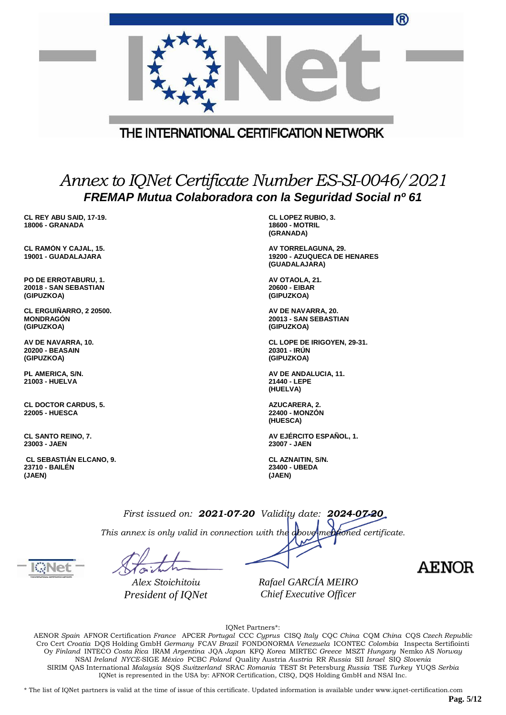|                                                                   |                                                       | ®                                                                                                            |
|-------------------------------------------------------------------|-------------------------------------------------------|--------------------------------------------------------------------------------------------------------------|
|                                                                   |                                                       |                                                                                                              |
|                                                                   | THE INTERNATIONAL CERTIFICATION NETWORK               |                                                                                                              |
|                                                                   |                                                       |                                                                                                              |
|                                                                   |                                                       | Annex to IQNet Certificate Number ES-SI-0046/2021<br>FREMAP Mutua Colaboradora con la Seguridad Social nº 61 |
| CL REY ABU SAID, 17-19.<br><b>18006 - GRANADA</b>                 |                                                       | <b>CL LOPEZ RUBIO, 3.</b><br><b>18600 - MOTRIL</b><br>(GRANADA)                                              |
| CL RAMÓN Y CAJAL, 15.<br>19001 - GUADALAJARA                      |                                                       | AV TORRELAGUNA, 29.<br><b>19200 - AZUQUECA DE HENARES</b><br>(GUADALAJARA)                                   |
| PO DE ERROTABURU, 1.<br>20018 - SAN SEBASTIAN<br>(GIPUZKOA)       |                                                       | AV OTAOLA, 21.<br>20600 - EIBAR<br>(GIPUZKOA)                                                                |
| CL ERGUIÑARRO, 2 20500.<br><b>MONDRAGON</b><br>(GIPUZKOA)         |                                                       | AV DE NAVARRA, 20.<br>20013 - SAN SEBASTIAN<br>(GIPUZKOA)                                                    |
| AV DE NAVARRA, 10.<br><b>20200 - BEASAIN</b><br>(GIPUZKOA)        |                                                       | CL LOPE DE IRIGOYEN, 29-31.<br>20301 - IRÚN<br>(GIPUZKOA)                                                    |
| PL AMERICA, S/N.<br>21003 - HUELVA                                |                                                       | AV DE ANDALUCIA, 11.<br>21440 - LEPE<br>(HUELVA)                                                             |
| <b>CL DOCTOR CARDUS, 5.</b><br><b>22005 - HUESCA</b>              |                                                       | AZUCARERA, 2.<br><b>22400 - MONZON</b><br>(HUESCA)                                                           |
| <b>CL SANTO REINO, 7.</b><br>23003 - JAEN                         |                                                       | AV EJÉRCITO ESPAÑOL, 1.<br>23007 - JAEN                                                                      |
| <b>CL SEBASTIAN ELCANO, 9.</b><br><b>23710 - BAILEN</b><br>(JAEN) |                                                       | CL AZNAITIN, S/N.<br>23400 - UBEDA<br>(JAEN)                                                                 |
|                                                                   | First issued on: 2021-07-20 Validity date: 2024-07-20 |                                                                                                              |
|                                                                   | This annex is only valid in connection with the above | mentioned certificate.                                                                                       |

*Alex Stoichitoiu President of IQNet*

*Rafael GARCÍA MEIRO Chief Executive Officer*

**AENOR** 

IQNet Partners\*:

AENOR *Spain* AFNOR Certification *France* APCER *Portugal* CCC *Cyprus* CISQ *Italy* CQC *China* CQM *China* CQS *Czech Republic* Cro Cert *Croatia* DQS Holding GmbH *Germany* FCAV *Brazil* FONDONORMA *Venezuela* ICONTEC *Colombia* Inspecta Sertifiointi Oy *Finland* INTECO *Costa Rica* IRAM *Argentina* JQA *Japan* KFQ *Korea* MIRTEC *Greece* MSZT *Hungary* Nemko AS *Norway* NSAI *Ireland NYCE-*SIGE *México* PCBC *Poland* Quality Austria *Austria* RR *Russia* SII *Israel* SIQ *Slovenia* SIRIM QAS International *Malaysia* SQS *Switzerland* SRAC *Romania* TEST St Petersburg *Russia* TSE *Turkey* YUQS *Serbia* IQNet is represented in the USA by: AFNOR Certification, CISQ, DQS Holding GmbH and NSAI Inc.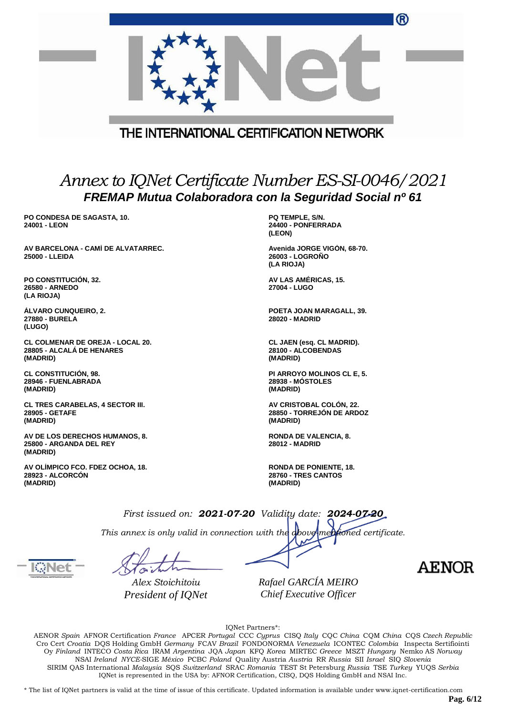|                                                                           | ®                                                                                                            |
|---------------------------------------------------------------------------|--------------------------------------------------------------------------------------------------------------|
|                                                                           | THE INTERNATIONAL CERTIFICATION NETWORK                                                                      |
|                                                                           | Annex to IQNet Certificate Number ES-SI-0046/2021<br>FREMAP Mutua Colaboradora con la Seguridad Social nº 61 |
| PO CONDESA DE SAGASTA, 10.<br>24001 - LEON                                | PQ TEMPLE, S/N.<br>24400 - PONFERRADA<br>(LEON)                                                              |
| AV BARCELONA - CAMÍ DE ALVATARREC.<br>25000 - LLEIDA                      | Avenida JORGE VIGÓN, 68-70.<br>26003 - LOGROÑO<br>(LA RIOJA)                                                 |
| PO CONSTITUCIÓN, 32.<br>26580 - ARNEDO<br>(LA RIOJA)                      | AV LAS AMÉRICAS, 15.<br>27004 - LUGO                                                                         |
| <b>ALVARO CUNQUEIRO, 2.</b><br>27880 - BURELA<br>(LUGO)                   | POETA JOAN MARAGALL, 39.<br><b>28020 - MADRID</b>                                                            |
| CL COLMENAR DE OREJA - LOCAL 20.<br>28805 - ALCALÁ DE HENARES<br>(MADRID) | CL JAEN (esq. CL MADRID).<br>28100 - ALCOBENDAS<br>(MADRID)                                                  |
| <b>CL CONSTITUCIÓN, 98.</b><br>28946 - FUENLABRADA<br>(MADRID)            | PI ARROYO MOLINOS CL E, 5.<br><b>28938 - MÓSTOLES</b><br>(MADRID)                                            |
| <b>CL TRES CARABELAS, 4 SECTOR III.</b><br>28905 - GETAFE<br>(MADRID)     | AV CRISTOBAL COLON, 22.<br>28850 - TORREJÓN DE ARDOZ<br>(MADRID)                                             |
| AV DE LOS DERECHOS HUMANOS, 8.<br>25800 - ARGANDA DEL REY<br>(MADRID)     | RONDA DE VALENCIA, 8.<br><b>28012 - MADRID</b>                                                               |
| AV OLÍMPICO FCO. FDEZ OCHOA, 18.<br><b>28923 - ALCORCON</b><br>(MADRID)   | RONDA DE PONIENTE, 18.<br><b>28760 - TRES CANTOS</b><br>(MADRID)                                             |
|                                                                           | First issued on: 2021-07-20 Validity date: 2024-07-20                                                        |
|                                                                           | This annex is only valid in connection with the doove mentioned certificate.                                 |

*Rafael GARCÍA MEIRO Chief Executive Officer*

**AENOR** 

IQNet Partners\*:

AENOR *Spain* AFNOR Certification *France* APCER *Portugal* CCC *Cyprus* CISQ *Italy* CQC *China* CQM *China* CQS *Czech Republic* Cro Cert *Croatia* DQS Holding GmbH *Germany* FCAV *Brazil* FONDONORMA *Venezuela* ICONTEC *Colombia* Inspecta Sertifiointi Oy *Finland* INTECO *Costa Rica* IRAM *Argentina* JQA *Japan* KFQ *Korea* MIRTEC *Greece* MSZT *Hungary* Nemko AS *Norway* NSAI *Ireland NYCE-*SIGE *México* PCBC *Poland* Quality Austria *Austria* RR *Russia* SII *Israel* SIQ *Slovenia* SIRIM QAS International *Malaysia* SQS *Switzerland* SRAC *Romania* TEST St Petersburg *Russia* TSE *Turkey* YUQS *Serbia* IQNet is represented in the USA by: AFNOR Certification, CISQ, DQS Holding GmbH and NSAI Inc.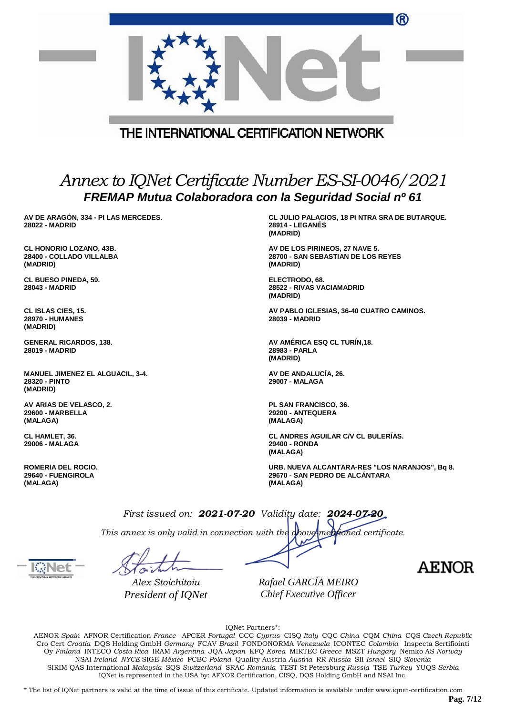|                                                                 | ®                                                                                            |
|-----------------------------------------------------------------|----------------------------------------------------------------------------------------------|
|                                                                 | THE INTERNATIONAL CERTIFICATION NETWORK                                                      |
|                                                                 | Annex to IQNet Certificate Number ES-SI-0046/2021                                            |
|                                                                 | FREMAP Mutua Colaboradora con la Seguridad Social nº 61                                      |
| AV DE ARAGÓN, 334 - PI LAS MERCEDES.<br><b>28022 - MADRID</b>   | CL JULIO PALACIOS, 18 PI NTRA SRA DE BUTARQUE.<br><b>28914 - LEGANES</b><br>(MADRID)         |
| CL HONORIO LOZANO, 43B.<br>28400 - COLLADO VILLALBA<br>(MADRID) | AV DE LOS PIRINEOS, 27 NAVE 5.<br>28700 - SAN SEBASTIAN DE LOS REYES<br>(MADRID)             |
| <b>CL BUESO PINEDA, 59.</b><br>28043 - MADRID                   | ELECTRODO, 68.<br>28522 - RIVAS VACIAMADRID<br>(MADRID)                                      |
| CL ISLAS CIES, 15.<br><b>28970 - HUMANES</b><br>(MADRID)        | AV PABLO IGLESIAS, 36-40 CUATRO CAMINOS.<br>28039 - MADRID                                   |
| <b>GENERAL RICARDOS, 138.</b><br><b>28019 - MADRID</b>          | AV AMÉRICA ESQ CL TURIN, 18.<br>28983 - PARLA<br>(MADRID)                                    |
| MANUEL JIMENEZ EL ALGUACIL, 3-4.<br>28320 - PINTO<br>(MADRID)   | AV DE ANDALUCÍA, 26.<br>29007 - MALAGA                                                       |
| AV ARIAS DE VELASCO, 2.<br><b>29600 - MARBELLA</b><br>(MALAGA)  | PL SAN FRANCISCO, 36.<br>29200 - ANTEQUERA<br>(MALAGA)                                       |
| CL HAMLET, 36.<br>29006 - MALAGA                                | CL ANDRES AGUILAR C/V CL BULERÍAS.<br>29400 - RONDA<br>(MALAGA)                              |
| <b>ROMERIA DEL ROCIO.</b><br>29640 - FUENGIROLA<br>(MALAGA)     | URB. NUEVA ALCANTARA-RES "LOS NARANJOS", Bq 8.<br>29670 - SAN PEDRO DE ALCANTARA<br>(MALAGA) |
|                                                                 | First issued on: 2021-07-20 Validity date: 2024-07-20                                        |
|                                                                 | This annex is only valid in connection with the doove mentioned certificate.                 |
|                                                                 | AEN                                                                                          |
| Alex Stoichitoiu<br>President of IQNet                          | Rafael GARCÍA MEIRO<br>Chief Executive Officer                                               |

IQNet Partners\*:

AENOR *Spain* AFNOR Certification *France* APCER *Portugal* CCC *Cyprus* CISQ *Italy* CQC *China* CQM *China* CQS *Czech Republic* Cro Cert *Croatia* DQS Holding GmbH *Germany* FCAV *Brazil* FONDONORMA *Venezuela* ICONTEC *Colombia* Inspecta Sertifiointi Oy *Finland* INTECO *Costa Rica* IRAM *Argentina* JQA *Japan* KFQ *Korea* MIRTEC *Greece* MSZT *Hungary* Nemko AS *Norway* NSAI *Ireland NYCE-*SIGE *México* PCBC *Poland* Quality Austria *Austria* RR *Russia* SII *Israel* SIQ *Slovenia* SIRIM QAS International *Malaysia* SQS *Switzerland* SRAC *Romania* TEST St Petersburg *Russia* TSE *Turkey* YUQS *Serbia* IQNet is represented in the USA by: AFNOR Certification, CISQ, DQS Holding GmbH and NSAI Inc.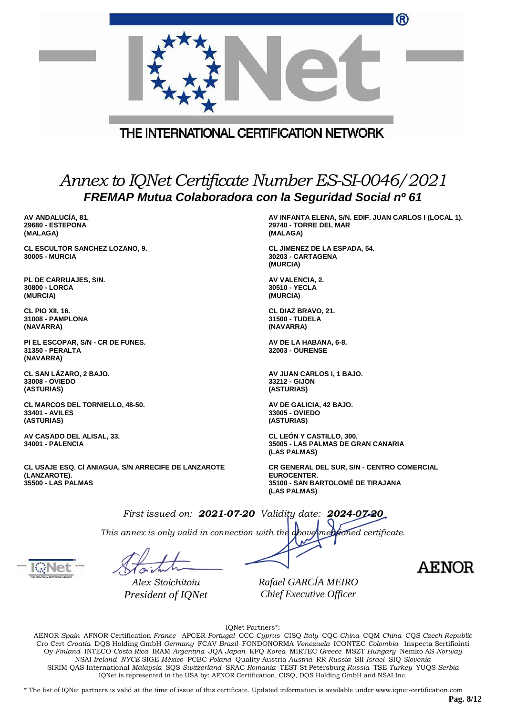|                                                                                                  | ®                                                                                                                     |
|--------------------------------------------------------------------------------------------------|-----------------------------------------------------------------------------------------------------------------------|
|                                                                                                  |                                                                                                                       |
|                                                                                                  | THE INTERNATIONAL CERTIFICATION NETWORK                                                                               |
|                                                                                                  |                                                                                                                       |
|                                                                                                  | Annex to IQNet Certificate Number ES-SI-0046/2021                                                                     |
|                                                                                                  | FREMAP Mutua Colaboradora con la Seguridad Social nº 61                                                               |
| AV ANDALUCÍA, 81.<br><b>29680 - ESTEPONA</b><br>(MALAGA)                                         | AV INFANTA ELENA, S/N. EDIF. JUAN CARLOS I (LOCAL 1).<br>29740 - TORRE DEL MAR<br>(MALAGA)                            |
| <b>CL ESCULTOR SANCHEZ LOZANO, 9.</b><br><b>30005 - MURCIA</b>                                   | <b>CL JIMENEZ DE LA ESPADA, 54.</b><br>30203 - CARTAGENA<br>(MURCIA)                                                  |
| PL DE CARRUAJES, S/N.<br>30800 - LORCA<br>(MURCIA)                                               | AV VALENCIA, 2.<br>30510 - YECLA<br>(MURCIA)                                                                          |
| CL PIO XII, 16.<br>31008 - PAMPLONA<br>(NAVARRA)                                                 | CL DIAZ BRAVO, 21.<br>31500 - TUDELA<br>(NAVARRA)                                                                     |
| PI EL ESCOPAR, S/N - CR DE FUNES.<br>31350 - PERALTA<br>(NAVARRA)                                | AV DE LA HABANA, 6-8.<br><b>32003 - OURENSE</b>                                                                       |
| CL SAN LAZARO, 2 BAJO.<br>33008 - OVIEDO<br>(ASTURIAS)                                           | AV JUAN CARLOS I, 1 BAJO.<br>33212 - GIJON<br>(ASTURIAS)                                                              |
| <b>CL MARCOS DEL TORNIELLO, 48-50.</b><br>33401 - AVILES<br>(ASTURIAS)                           | AV DE GALICIA, 42 BAJO.<br>33005 - OVIEDO<br>(ASTURIAS)                                                               |
| AV CASADO DEL ALISAL, 33.<br>34001 - PALENCIA                                                    | CL LEÓN Y CASTILLO, 300.<br>35005 - LAS PALMAS DE GRAN CANARIA<br>(LAS PALMAS)                                        |
| CL USAJE ESQ. CI ANIAGUA, S/N ARRECIFE DE LANZAROTE<br>(LANZAROTE).<br><b>35500 - LAS PALMAS</b> | CR GENERAL DEL SUR, S/N - CENTRO COMERCIAL<br><b>EUROCENTER.</b><br>35100 - SAN BARTOLOME DE TIRAJANA<br>(LAS PALMAS) |
|                                                                                                  | First issued on: 2021-07-20 Validity date: 2024-07-20                                                                 |

*This annex is only valid in connection with the above-mentioned certificate.*

*Alex Stoichitoiu President of IQNet* *Rafael GARCÍA MEIRO Chief Executive Officer*

IQNet Partners\*:

AENOR *Spain* AFNOR Certification *France* APCER *Portugal* CCC *Cyprus* CISQ *Italy* CQC *China* CQM *China* CQS *Czech Republic* Cro Cert *Croatia* DQS Holding GmbH *Germany* FCAV *Brazil* FONDONORMA *Venezuela* ICONTEC *Colombia* Inspecta Sertifiointi Oy *Finland* INTECO *Costa Rica* IRAM *Argentina* JQA *Japan* KFQ *Korea* MIRTEC *Greece* MSZT *Hungary* Nemko AS *Norway* NSAI *Ireland NYCE-*SIGE *México* PCBC *Poland* Quality Austria *Austria* RR *Russia* SII *Israel* SIQ *Slovenia* SIRIM QAS International *Malaysia* SQS *Switzerland* SRAC *Romania* TEST St Petersburg *Russia* TSE *Turkey* YUQS *Serbia* IQNet is represented in the USA by: AFNOR Certification, CISQ, DQS Holding GmbH and NSAI Inc.

\* The list of IQNet partners is valid at the time of issue of this certificate. Updated information is available under www.iqnet-certification.com

**AENOR**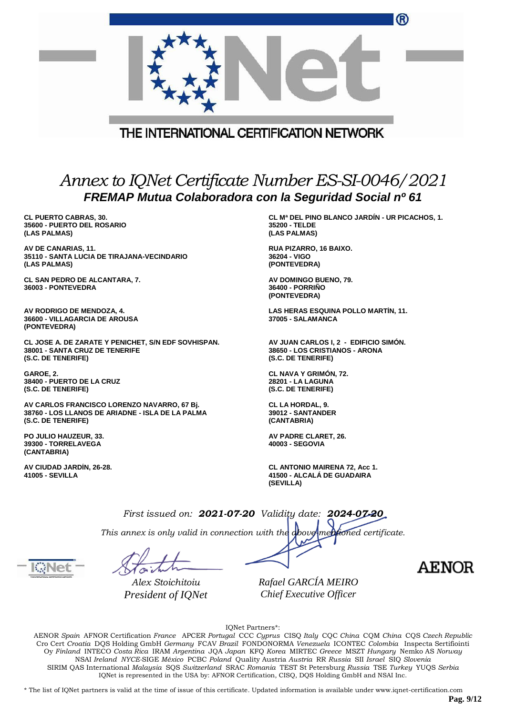|                                                                                                                                       | ®                                                                                             |
|---------------------------------------------------------------------------------------------------------------------------------------|-----------------------------------------------------------------------------------------------|
| THE INTERNATIONAL CERTIFICATION NETWORK                                                                                               |                                                                                               |
| Annex to IQNet Certificate Number ES-SI-0046/2021<br>FREMAP Mutua Colaboradora con la Seguridad Social nº 61                          |                                                                                               |
| <b>CL PUERTO CABRAS, 30.</b><br><b>35600 - PUERTO DEL ROSARIO</b><br>(LAS PALMAS)                                                     | CL Mª DEL PINO BLANCO JARDÍN - UR PICACHOS, 1.<br>35200 - TELDE<br>(LAS PALMAS)               |
| AV DE CANARIAS, 11.<br>35110 - SANTA LUCIA DE TIRAJANA-VECINDARIO<br>(LAS PALMAS)                                                     | RUA PIZARRO, 16 BAIXO.<br>36204 - VIGO<br>(PONTEVEDRA)                                        |
| CL SAN PEDRO DE ALCANTARA, 7.<br>36003 - PONTEVEDRA                                                                                   | AV DOMINGO BUENO, 79.<br>36400 - PORRIÑO<br>(PONTEVEDRA)                                      |
| AV RODRIGO DE MENDOZA, 4.<br><b>36600 - VILLAGARCIA DE AROUSA</b><br>(PONTEVEDRA)                                                     | LAS HERAS ESQUINA POLLO MARTIN, 11.<br>37005 - SALAMANCA                                      |
| CL JOSE A. DE ZARATE Y PENICHET, S/N EDF SOVHISPAN.<br>38001 - SANTA CRUZ DE TENERIFE<br>(S.C. DE TENERIFE)                           | AV JUAN CARLOS I, 2 - EDIFICIO SIMON.<br>38650 - LOS CRISTIANOS - ARONA<br>(S.C. DE TENERIFE) |
| GAROE, 2.<br>38400 - PUERTO DE LA CRUZ<br>(S.C. DE TENERIFE)                                                                          | CL NAVA Y GRIMÓN, 72.<br>28201 - LA LAGUNA<br>(S.C. DE TENERIFE)                              |
| AV CARLOS FRANCISCO LORENZO NAVARRO, 67 Bj.<br>38760 - LOS LLANOS DE ARIADNE - ISLA DE LA PALMA<br>(S.C. DE TENERIFE)                 | CL LA HORDAL, 9.<br><b>39012 - SANTANDER</b><br>(CANTABRIA)                                   |
| PO JULIO HAUZEUR, 33.<br>39300 - TORRELAVEGA<br>(CANTABRIA)                                                                           | AV PADRE CLARET, 26.<br>40003 - SEGOVIA                                                       |
| AV CIUDAD JARDIN, 26-28.<br>41005 - SEVILLA                                                                                           | <b>CL ANTONIO MAIRENA 72, Acc 1.</b><br>41500 - ALCALÁ DE GUADAIRA<br>(SEVILLA)               |
| First issued on: 2021-07-20 Validity date: 2024-07-20<br>This annex is only valid in connection with the above mentioned certificate. |                                                                                               |

*Rafael GARCÍA MEIRO Chief Executive Officer*

**AENOR** 

IQNet Partners\*:

AENOR *Spain* AFNOR Certification *France* APCER *Portugal* CCC *Cyprus* CISQ *Italy* CQC *China* CQM *China* CQS *Czech Republic* Cro Cert *Croatia* DQS Holding GmbH *Germany* FCAV *Brazil* FONDONORMA *Venezuela* ICONTEC *Colombia* Inspecta Sertifiointi Oy *Finland* INTECO *Costa Rica* IRAM *Argentina* JQA *Japan* KFQ *Korea* MIRTEC *Greece* MSZT *Hungary* Nemko AS *Norway* NSAI *Ireland NYCE-*SIGE *México* PCBC *Poland* Quality Austria *Austria* RR *Russia* SII *Israel* SIQ *Slovenia* SIRIM QAS International *Malaysia* SQS *Switzerland* SRAC *Romania* TEST St Petersburg *Russia* TSE *Turkey* YUQS *Serbia* IQNet is represented in the USA by: AFNOR Certification, CISQ, DQS Holding GmbH and NSAI Inc.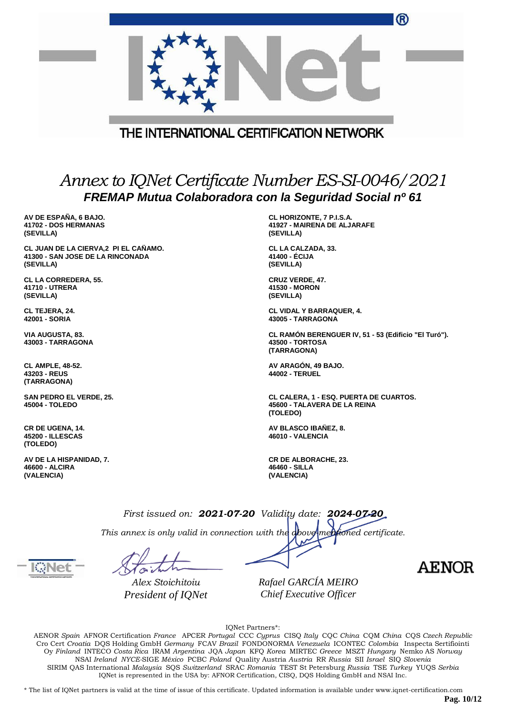|                                                                                        | ®                                                                                                            |
|----------------------------------------------------------------------------------------|--------------------------------------------------------------------------------------------------------------|
|                                                                                        | THE INTERNATIONAL CERTIFICATION NETWORK                                                                      |
|                                                                                        | Annex to IQNet Certificate Number ES-SI-0046/2021<br>FREMAP Mutua Colaboradora con la Seguridad Social nº 61 |
| AV DE ESPAÑA, 6 BAJO.<br>41702 - DOS HERMANAS<br>(SEVILLA)                             | CL HORIZONTE, 7 P.I.S.A.<br>41927 - MAIRENA DE ALJARAFE<br>(SEVILLA)                                         |
| CL JUAN DE LA CIERVA, 2 PI EL CAÑAMO.<br>41300 - SAN JOSE DE LA RINCONADA<br>(SEVILLA) | CL LA CALZADA, 33.<br>41400 - ÉCIJA<br>(SEVILLA)                                                             |
| CL LA CORREDERA, 55.<br>41710 - UTRERA<br>(SEVILLA)                                    | <b>CRUZ VERDE, 47.</b><br>41530 - MORON<br>(SEVILLA)                                                         |
| CL TEJERA, 24.<br>42001 - SORIA                                                        | <b>CL VIDAL Y BARRAQUER, 4.</b><br>43005 - TARRAGONA                                                         |
| VIA AUGUSTA, 83.<br>43003 - TARRAGONA                                                  | CL RAMÓN BERENGUER IV, 51 - 53 (Edificio "El Turó").<br><b>43500 - TORTOSA</b><br>(TARRAGONA)                |
| <b>CL AMPLE, 48-52.</b><br>43203 - REUS<br>(TARRAGONA)                                 | AV ARAGÓN, 49 BAJO.<br><b>44002 - TERUEL</b>                                                                 |
| SAN PEDRO EL VERDE, 25.<br>45004 - TOLEDO                                              | CL CALERA, 1 - ESQ. PUERTA DE CUARTOS.<br>45600 - TALAVERA DE LA REINA<br>(TOLEDO)                           |
| CR DE UGENA, 14.<br><b>45200 - ILLESCAS</b><br>(TOLEDO)                                | AV BLASCO IBAÑEZ, 8.<br>46010 - VALENCIA                                                                     |
| AV DE LA HISPANIDAD, 7.<br>46600 - ALCIRA<br>(VALENCIA)                                | <b>CR DE ALBORACHE, 23.</b><br>46460 - SILLA<br>(VALENCIA)                                                   |
|                                                                                        | First issued on: 2021-07-20 Validity date: 2024-07-20                                                        |
|                                                                                        | This annex is only valid in connection with the above mentioned certificate.                                 |
| KNet                                                                                   | <b>AENOR</b>                                                                                                 |

*Rafael GARCÍA MEIRO Chief Executive Officer*

IQNet Partners\*:

AENOR *Spain* AFNOR Certification *France* APCER *Portugal* CCC *Cyprus* CISQ *Italy* CQC *China* CQM *China* CQS *Czech Republic* Cro Cert *Croatia* DQS Holding GmbH *Germany* FCAV *Brazil* FONDONORMA *Venezuela* ICONTEC *Colombia* Inspecta Sertifiointi Oy *Finland* INTECO *Costa Rica* IRAM *Argentina* JQA *Japan* KFQ *Korea* MIRTEC *Greece* MSZT *Hungary* Nemko AS *Norway* NSAI *Ireland NYCE-*SIGE *México* PCBC *Poland* Quality Austria *Austria* RR *Russia* SII *Israel* SIQ *Slovenia* SIRIM QAS International *Malaysia* SQS *Switzerland* SRAC *Romania* TEST St Petersburg *Russia* TSE *Turkey* YUQS *Serbia* IQNet is represented in the USA by: AFNOR Certification, CISQ, DQS Holding GmbH and NSAI Inc.

\* The list of IQNet partners is valid at the time of issue of this certificate. Updated information is available under www.iqnet-certification.com

**Pag. 10/12**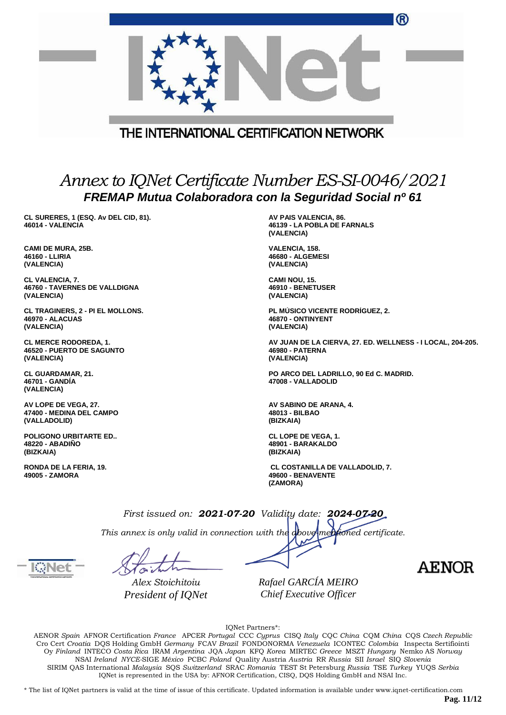|                                                                                                              | ®                                                                                                  |  |
|--------------------------------------------------------------------------------------------------------------|----------------------------------------------------------------------------------------------------|--|
|                                                                                                              | THE INTERNATIONAL CERTIFICATION NETWORK                                                            |  |
| Annex to IQNet Certificate Number ES-SI-0046/2021<br>FREMAP Mutua Colaboradora con la Seguridad Social nº 61 |                                                                                                    |  |
| CL SURERES, 1 (ESQ. Av DEL CID, 81).<br>46014 - VALENCIA                                                     | AV PAIS VALENCIA, 86.<br>46139 - LA POBLA DE FARNALS<br>(VALENCIA)                                 |  |
| <b>CAMI DE MURA, 25B.</b><br>46160 - LLIRIA<br>(VALENCIA)                                                    | VALENCIA, 158.<br><b>46680 - ALGEMESI</b><br>(VALENCIA)                                            |  |
| CL VALENCIA, 7.<br><b>46760 - TAVERNES DE VALLDIGNA</b><br>(VALENCIA)                                        | CAMI NOU, 15.<br>46910 - BENETUSER<br>(VALENCIA)                                                   |  |
| CL TRAGINERS, 2 - PI EL MOLLONS.<br><b>46970 - ALACUAS</b><br>(VALENCIA)                                     | PL MÚSICO VICENTE RODRÍGUEZ, 2.<br>46870 - ONTINYENT<br>(VALENCIA)                                 |  |
| <b>CL MERCE RODOREDA, 1.</b><br>46520 - PUERTO DE SAGUNTO<br>(VALENCIA)                                      | AV JUAN DE LA CIERVA, 27. ED. WELLNESS - I LOCAL, 204-205.<br><b>46980 - PATERNA</b><br>(VALENCIA) |  |
| <b>CL GUARDAMAR, 21.</b><br>46701 - GANDIA<br>(VALENCIA)                                                     | PO ARCO DEL LADRILLO, 90 Ed C. MADRID.<br>47008 - VALLADOLID                                       |  |
| AV LOPE DE VEGA, 27.<br>47400 - MEDINA DEL CAMPO<br>(VALLADOLID)                                             | AV SABINO DE ARANA, 4.<br>48013 - BILBAO<br>(BIZKAIA)                                              |  |
| <b>POLIGONO URBITARTE ED</b><br><b>48220 - ABADINO</b><br>(BIZKAIA)                                          | <b>CL LOPE DE VEGA, 1.</b><br>48901 - BARAKALDO<br>(BIZKAIA)                                       |  |
| RONDA DE LA FERIA, 19.<br>49005 - ZAMORA                                                                     | <b>CL COSTANILLA DE VALLADOLID, 7.</b><br>49600 - BENAVENTE<br>(ZAMORA)                            |  |
|                                                                                                              | First issued on: 2021-07-20 Validity date: 2024-07-20                                              |  |

*This annex is only valid in connection with the above-mentioned certificate.*

*Alex Stoichitoiu President of IQNet* *Rafael GARCÍA MEIRO Chief Executive Officer*

**AENOR** 

IQNet Partners\*:

AENOR *Spain* AFNOR Certification *France* APCER *Portugal* CCC *Cyprus* CISQ *Italy* CQC *China* CQM *China* CQS *Czech Republic* Cro Cert *Croatia* DQS Holding GmbH *Germany* FCAV *Brazil* FONDONORMA *Venezuela* ICONTEC *Colombia* Inspecta Sertifiointi Oy *Finland* INTECO *Costa Rica* IRAM *Argentina* JQA *Japan* KFQ *Korea* MIRTEC *Greece* MSZT *Hungary* Nemko AS *Norway* NSAI *Ireland NYCE-*SIGE *México* PCBC *Poland* Quality Austria *Austria* RR *Russia* SII *Israel* SIQ *Slovenia* SIRIM QAS International *Malaysia* SQS *Switzerland* SRAC *Romania* TEST St Petersburg *Russia* TSE *Turkey* YUQS *Serbia* IQNet is represented in the USA by: AFNOR Certification, CISQ, DQS Holding GmbH and NSAI Inc.

\* The list of IQNet partners is valid at the time of issue of this certificate. Updated information is available under www.iqnet-certification.com

**Pag. 11/12**